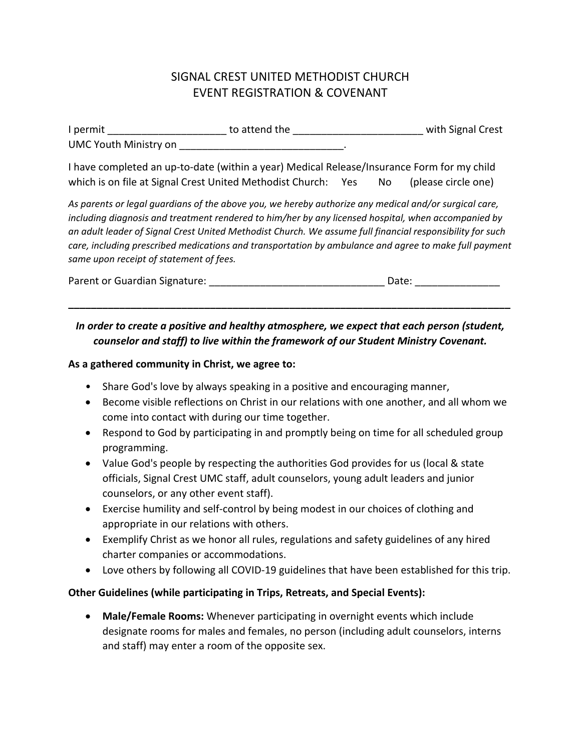## SIGNAL CREST UNITED METHODIST CHURCH EVENT REGISTRATION & COVENANT

| I permit                     | to attend the | with Signal Crest |
|------------------------------|---------------|-------------------|
| <b>UMC Youth Ministry on</b> |               |                   |

I have completed an up-to-date (within a year) Medical Release/Insurance Form for my child which is on file at Signal Crest United Methodist Church: Yes No (please circle one)

*As parents or legal guardians of the above you, we hereby authorize any medical and/or surgical care, including diagnosis and treatment rendered to him/her by any licensed hospital, when accompanied by an adult leader of Signal Crest United Methodist Church. We assume full financial responsibility for such care, including prescribed medications and transportation by ambulance and agree to make full payment same upon receipt of statement of fees.* 

| Parent or Guardian Signature: | Date: |
|-------------------------------|-------|
|                               |       |

**\_\_\_\_\_\_\_\_\_\_\_\_\_\_\_\_\_\_\_\_\_\_\_\_\_\_\_\_\_\_\_\_\_\_\_\_\_\_\_\_\_\_\_\_\_\_\_\_\_\_\_\_\_\_\_\_\_\_\_\_\_\_\_\_\_\_\_\_\_\_\_\_\_\_\_\_\_\_**

## *In order to create a positive and healthy atmosphere, we expect that each person (student, counselor and staff) to live within the framework of our Student Ministry Covenant.*

## **As a gathered community in Christ, we agree to:**

- Share God's love by always speaking in a positive and encouraging manner,
- Become visible reflections on Christ in our relations with one another, and all whom we come into contact with during our time together.
- Respond to God by participating in and promptly being on time for all scheduled group programming.
- Value God's people by respecting the authorities God provides for us (local & state officials, Signal Crest UMC staff, adult counselors, young adult leaders and junior counselors, or any other event staff).
- Exercise humility and self-control by being modest in our choices of clothing and appropriate in our relations with others.
- Exemplify Christ as we honor all rules, regulations and safety guidelines of any hired charter companies or accommodations.
- Love others by following all COVID-19 guidelines that have been established for this trip.

## **Other Guidelines (while participating in Trips, Retreats, and Special Events):**

• **Male/Female Rooms:** Whenever participating in overnight events which include designate rooms for males and females, no person (including adult counselors, interns and staff) may enter a room of the opposite sex.